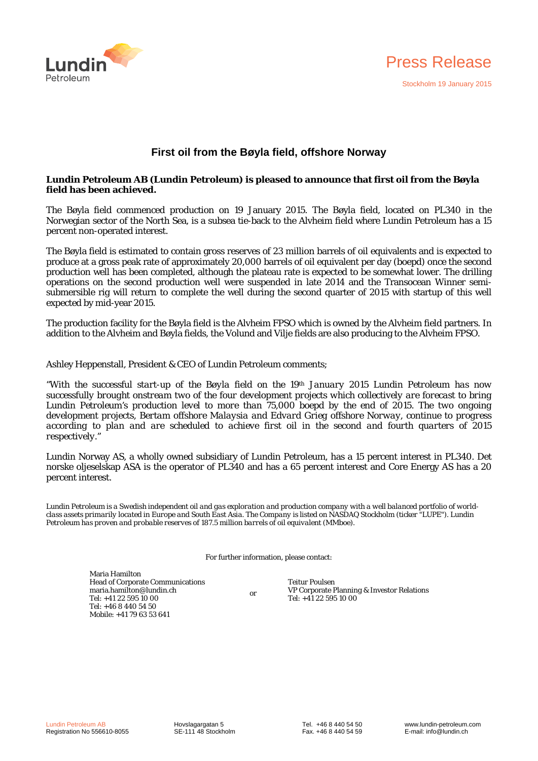



# **First oil from the Bøyla field, offshore Norway**

# **Lundin Petroleum AB (Lundin Petroleum) is pleased to announce that first oil from the Bøyla field has been achieved.**

The Bøyla field commenced production on 19 January 2015. The Bøyla field, located on PL340 in the Norwegian sector of the North Sea, is a subsea tie-back to the Alvheim field where Lundin Petroleum has a 15 percent non-operated interest.

The Bøyla field is estimated to contain gross reserves of 23 million barrels of oil equivalents and is expected to produce at a gross peak rate of approximately 20,000 barrels of oil equivalent per day (boepd) once the second production well has been completed, although the plateau rate is expected to be somewhat lower. The drilling operations on the second production well were suspended in late 2014 and the Transocean Winner semisubmersible rig will return to complete the well during the second quarter of 2015 with startup of this well expected by mid-year 2015.

The production facility for the Bøyla field is the Alvheim FPSO which is owned by the Alvheim field partners. In addition to the Alvheim and Bøyla fields, the Volund and Vilje fields are also producing to the Alvheim FPSO.

Ashley Heppenstall, President & CEO of Lundin Petroleum comments;

*"With the successful start-up of the Bøyla field on the 19th January 2015 Lundin Petroleum has now successfully brought onstream two of the four development projects which collectively are forecast to bring Lundin Petroleum's production level to more than 75,000 boepd by the end of 2015. The two ongoing development projects, Bertam offshore Malaysia and Edvard Grieg offshore Norway, continue to progress according to plan and are scheduled to achieve first oil in the second and fourth quarters of 2015 respectively."* 

Lundin Norway AS, a wholly owned subsidiary of Lundin Petroleum, has a 15 percent interest in PL340. Det norske oljeselskap ASA is the operator of PL340 and has a 65 percent interest and Core Energy AS has a 20 percent interest.

*Lundin Petroleum is a Swedish independent oil and gas exploration and production company with a well balanced portfolio of worldclass assets primarily located in Europe and South East Asia. The Company is listed on NASDAQ Stockholm (ticker "LUPE"). Lundin Petroleum has proven and probable reserves of 187.5 million barrels of oil equivalent (MMboe).* 

For further information, please contact:

Maria Hamilton Head of Corporate Communications maria.hamilton@lundin.ch Tel: +41 22 595 10 00 Tel: +46 8 440 54 50 Mobile: +41 79 63 53 641

or

Teitur Poulsen VP Corporate Planning & Investor Relations Tel: +41 22 595 10 00